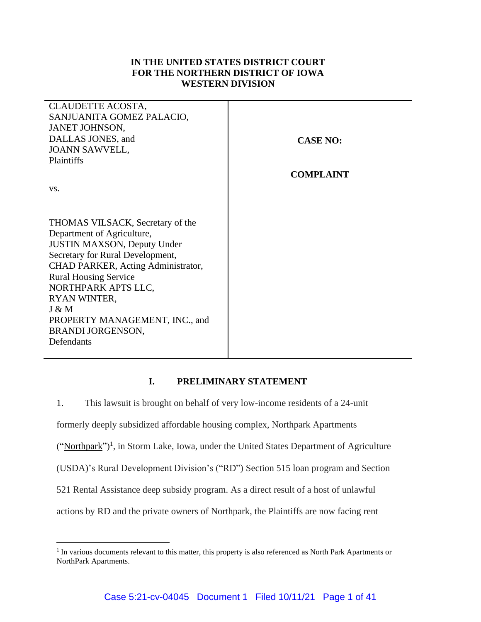# **IN THE UNITED STATES DISTRICT COURT FOR THE NORTHERN DISTRICT OF IOWA WESTERN DIVISION**

| CLAUDETTE ACOSTA,                  |                  |
|------------------------------------|------------------|
| SANJUANITA GOMEZ PALACIO,          |                  |
| JANET JOHNSON,                     |                  |
| DALLAS JONES, and                  | <b>CASE NO:</b>  |
| <b>JOANN SAWVELL,</b>              |                  |
| Plaintiffs                         |                  |
|                                    | <b>COMPLAINT</b> |
| VS.                                |                  |
|                                    |                  |
|                                    |                  |
| THOMAS VILSACK, Secretary of the   |                  |
| Department of Agriculture,         |                  |
| <b>JUSTIN MAXSON, Deputy Under</b> |                  |
| Secretary for Rural Development,   |                  |
| CHAD PARKER, Acting Administrator, |                  |
| <b>Rural Housing Service</b>       |                  |
| NORTHPARK APTS LLC,                |                  |
| RYAN WINTER,                       |                  |
| J & M                              |                  |
| PROPERTY MANAGEMENT, INC., and     |                  |
| <b>BRANDI JORGENSON,</b>           |                  |
| Defendants                         |                  |
|                                    |                  |

# **I. PRELIMINARY STATEMENT**

1. This lawsuit is brought on behalf of very low-income residents of a 24-unit formerly deeply subsidized affordable housing complex, Northpark Apartments ("Northpark")<sup>1</sup>, in Storm Lake, Iowa, under the United States Department of Agriculture (USDA)'s Rural Development Division's ("RD") Section 515 loan program and Section 521 Rental Assistance deep subsidy program. As a direct result of a host of unlawful actions by RD and the private owners of Northpark, the Plaintiffs are now facing rent

<sup>&</sup>lt;sup>1</sup> In various documents relevant to this matter, this property is also referenced as North Park Apartments or NorthPark Apartments.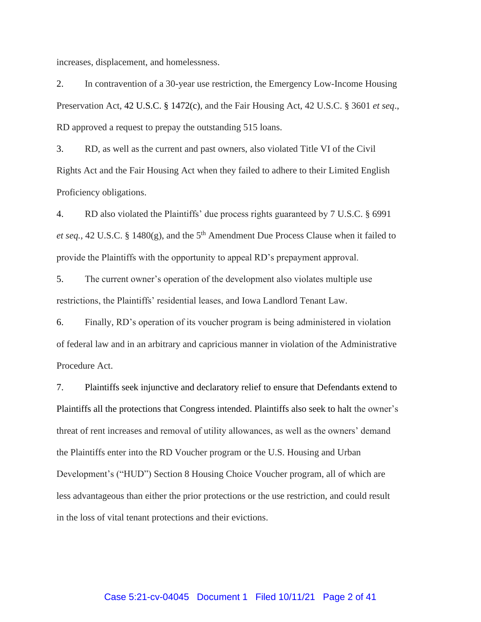increases, displacement, and homelessness.

2. In contravention of a 30-year use restriction, the Emergency Low-Income Housing Preservation Act, 42 U.S.C. § 1472(c), and the Fair Housing Act, 42 U.S.C. § 3601 *et seq*., RD approved a request to prepay the outstanding 515 loans.

3. RD, as well as the current and past owners, also violated Title VI of the Civil Rights Act and the Fair Housing Act when they failed to adhere to their Limited English Proficiency obligations.

4. RD also violated the Plaintiffs' due process rights guaranteed by 7 U.S.C. § 6991 *et seq.*, 42 U.S.C. § 1480 $(g)$ , and the 5<sup>th</sup> Amendment Due Process Clause when it failed to provide the Plaintiffs with the opportunity to appeal RD's prepayment approval.

5. The current owner's operation of the development also violates multiple use restrictions, the Plaintiffs' residential leases, and Iowa Landlord Tenant Law.

6. Finally, RD's operation of its voucher program is being administered in violation of federal law and in an arbitrary and capricious manner in violation of the Administrative Procedure Act.

7. Plaintiffs seek injunctive and declaratory relief to ensure that Defendants extend to Plaintiffs all the protections that Congress intended. Plaintiffs also seek to halt the owner's threat of rent increases and removal of utility allowances, as well as the owners' demand the Plaintiffs enter into the RD Voucher program or the U.S. Housing and Urban Development's ("HUD") Section 8 Housing Choice Voucher program, all of which are less advantageous than either the prior protections or the use restriction, and could result in the loss of vital tenant protections and their evictions.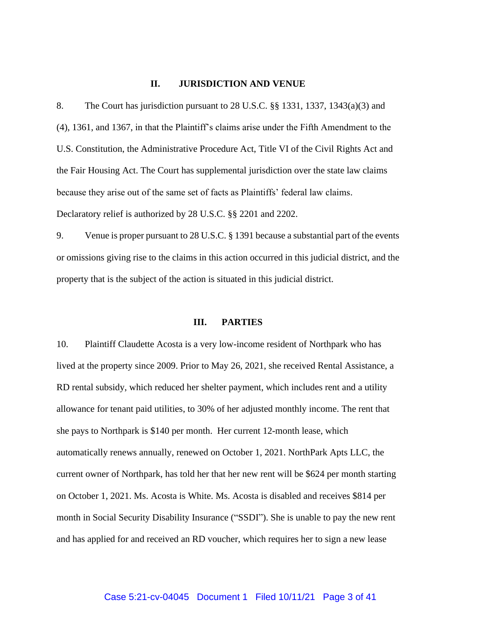#### **II. JURISDICTION AND VENUE**

8. The Court has jurisdiction pursuant to 28 U.S.C. §§ 1331, 1337, 1343(a)(3) and (4), 1361, and 1367, in that the Plaintiff's claims arise under the Fifth Amendment to the U.S. Constitution, the Administrative Procedure Act, Title VI of the Civil Rights Act and the Fair Housing Act. The Court has supplemental jurisdiction over the state law claims because they arise out of the same set of facts as Plaintiffs' federal law claims. Declaratory relief is authorized by 28 U.S.C. §§ 2201 and 2202.

9. Venue is proper pursuant to 28 U.S.C. § 1391 because a substantial part of the events or omissions giving rise to the claims in this action occurred in this judicial district, and the property that is the subject of the action is situated in this judicial district.

#### **III. PARTIES**

10. Plaintiff Claudette Acosta is a very low-income resident of Northpark who has lived at the property since 2009. Prior to May 26, 2021, she received Rental Assistance, a RD rental subsidy, which reduced her shelter payment, which includes rent and a utility allowance for tenant paid utilities, to 30% of her adjusted monthly income. The rent that she pays to Northpark is \$140 per month. Her current 12-month lease, which automatically renews annually, renewed on October 1, 2021. NorthPark Apts LLC, the current owner of Northpark, has told her that her new rent will be \$624 per month starting on October 1, 2021. Ms. Acosta is White. Ms. Acosta is disabled and receives \$814 per month in Social Security Disability Insurance ("SSDI"). She is unable to pay the new rent and has applied for and received an RD voucher, which requires her to sign a new lease

#### Case 5:21-cv-04045 Document 1 Filed 10/11/21 Page 3 of 41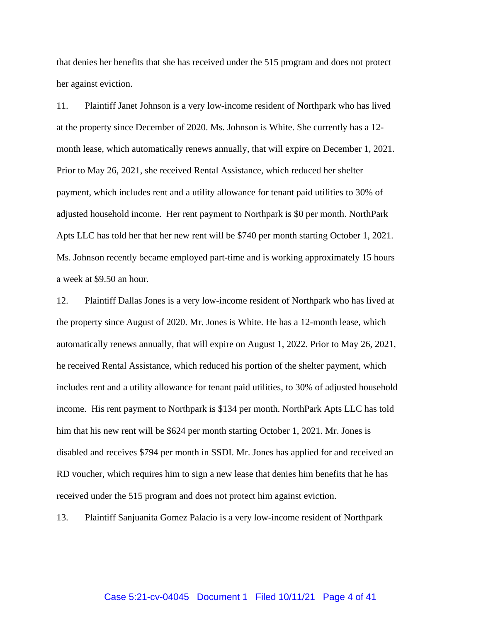that denies her benefits that she has received under the 515 program and does not protect her against eviction.

11. Plaintiff Janet Johnson is a very low-income resident of Northpark who has lived at the property since December of 2020. Ms. Johnson is White. She currently has a 12 month lease, which automatically renews annually, that will expire on December 1, 2021. Prior to May 26, 2021, she received Rental Assistance, which reduced her shelter payment, which includes rent and a utility allowance for tenant paid utilities to 30% of adjusted household income. Her rent payment to Northpark is \$0 per month. NorthPark Apts LLC has told her that her new rent will be \$740 per month starting October 1, 2021. Ms. Johnson recently became employed part-time and is working approximately 15 hours a week at \$9.50 an hour.

12. Plaintiff Dallas Jones is a very low-income resident of Northpark who has lived at the property since August of 2020. Mr. Jones is White. He has a 12-month lease, which automatically renews annually, that will expire on August 1, 2022. Prior to May 26, 2021, he received Rental Assistance, which reduced his portion of the shelter payment, which includes rent and a utility allowance for tenant paid utilities, to 30% of adjusted household income. His rent payment to Northpark is \$134 per month. NorthPark Apts LLC has told him that his new rent will be \$624 per month starting October 1, 2021. Mr. Jones is disabled and receives \$794 per month in SSDI. Mr. Jones has applied for and received an RD voucher, which requires him to sign a new lease that denies him benefits that he has received under the 515 program and does not protect him against eviction.

13. Plaintiff Sanjuanita Gomez Palacio is a very low-income resident of Northpark

#### Case 5:21-cv-04045 Document 1 Filed 10/11/21 Page 4 of 41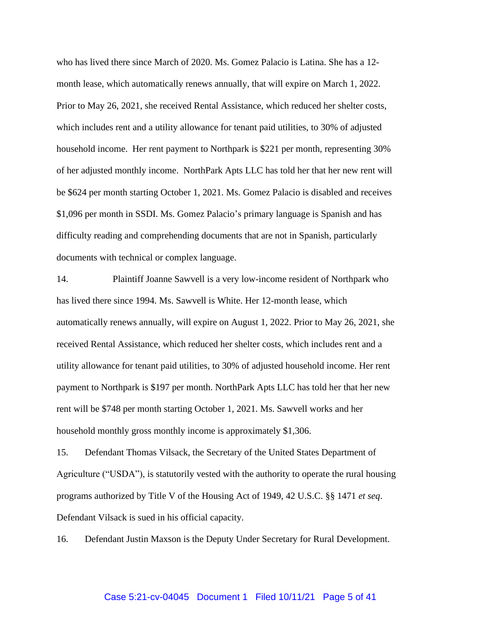who has lived there since March of 2020. Ms. Gomez Palacio is Latina. She has a 12 month lease, which automatically renews annually, that will expire on March 1, 2022. Prior to May 26, 2021, she received Rental Assistance, which reduced her shelter costs, which includes rent and a utility allowance for tenant paid utilities, to 30% of adjusted household income. Her rent payment to Northpark is \$221 per month, representing 30% of her adjusted monthly income. NorthPark Apts LLC has told her that her new rent will be \$624 per month starting October 1, 2021. Ms. Gomez Palacio is disabled and receives \$1,096 per month in SSDI. Ms. Gomez Palacio's primary language is Spanish and has difficulty reading and comprehending documents that are not in Spanish, particularly documents with technical or complex language.

14. Plaintiff Joanne Sawvell is a very low-income resident of Northpark who has lived there since 1994. Ms. Sawvell is White. Her 12-month lease, which automatically renews annually, will expire on August 1, 2022. Prior to May 26, 2021, she received Rental Assistance, which reduced her shelter costs, which includes rent and a utility allowance for tenant paid utilities, to 30% of adjusted household income. Her rent payment to Northpark is \$197 per month. NorthPark Apts LLC has told her that her new rent will be \$748 per month starting October 1, 2021. Ms. Sawvell works and her household monthly gross monthly income is approximately \$1,306.

15. Defendant Thomas Vilsack, the Secretary of the United States Department of Agriculture ("USDA"), is statutorily vested with the authority to operate the rural housing programs authorized by Title V of the Housing Act of 1949, 42 U.S.C. §§ 1471 *et seq*. Defendant Vilsack is sued in his official capacity.

16. Defendant Justin Maxson is the Deputy Under Secretary for Rural Development.

#### Case 5:21-cv-04045 Document 1 Filed 10/11/21 Page 5 of 41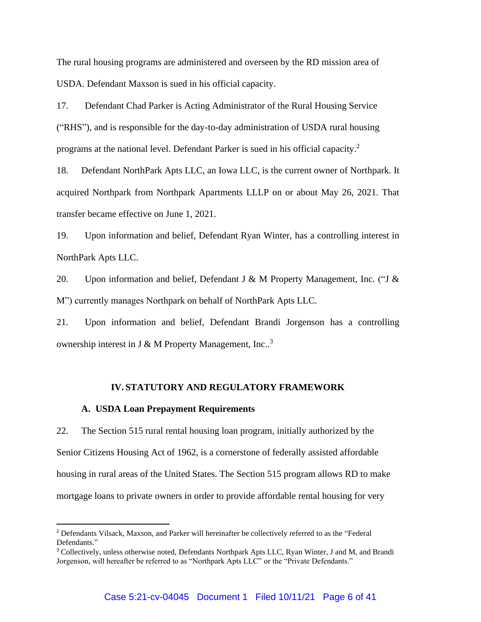The rural housing programs are administered and overseen by the RD mission area of USDA. Defendant Maxson is sued in his official capacity.

17. Defendant Chad Parker is Acting Administrator of the Rural Housing Service ("RHS"), and is responsible for the day-to-day administration of USDA rural housing programs at the national level. Defendant Parker is sued in his official capacity.<sup>2</sup>

18. Defendant NorthPark Apts LLC, an Iowa LLC, is the current owner of Northpark. It acquired Northpark from Northpark Apartments LLLP on or about May 26, 2021. That transfer became effective on June 1, 2021.

19. Upon information and belief, Defendant Ryan Winter, has a controlling interest in NorthPark Apts LLC.

20. Upon information and belief, Defendant J & M Property Management, Inc. ("J & M") currently manages Northpark on behalf of NorthPark Apts LLC.

21. Upon information and belief, Defendant Brandi Jorgenson has a controlling ownership interest in J & M Property Management, Inc..<sup>3</sup>

#### **IV. STATUTORY AND REGULATORY FRAMEWORK**

#### **A. USDA Loan Prepayment Requirements**

22. The Section 515 rural rental housing loan program, initially authorized by the Senior Citizens Housing Act of 1962, is a cornerstone of federally assisted affordable housing in rural areas of the United States. The Section 515 program allows RD to make mortgage loans to private owners in order to provide affordable rental housing for very

<sup>2</sup> Defendants Vilsack, Maxson, and Parker will hereinafter be collectively referred to as the "Federal Defendants."

<sup>3</sup> Collectively, unless otherwise noted, Defendants Northpark Apts LLC, Ryan Winter, J and M, and Brandi Jorgenson, will hereafter be referred to as "Northpark Apts LLC" or the "Private Defendants."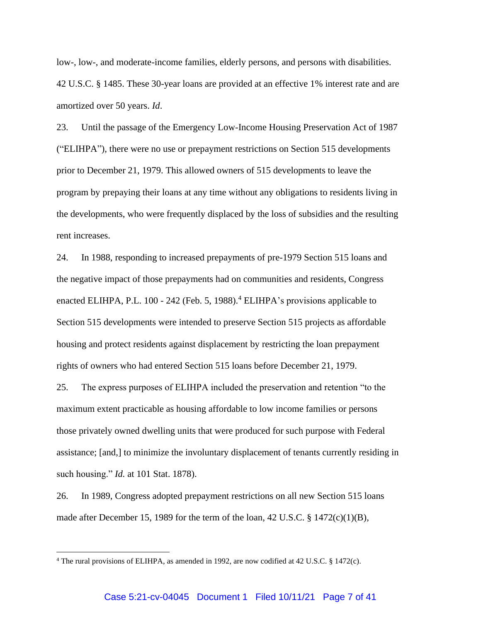low-, low-, and moderate-income families, elderly persons, and persons with disabilities. 42 U.S.C. § 1485. These 30-year loans are provided at an effective 1% interest rate and are amortized over 50 years. *Id*.

23. Until the passage of the Emergency Low-Income Housing Preservation Act of 1987 ("ELIHPA"), there were no use or prepayment restrictions on Section 515 developments prior to December 21, 1979. This allowed owners of 515 developments to leave the program by prepaying their loans at any time without any obligations to residents living in the developments, who were frequently displaced by the loss of subsidies and the resulting rent increases.

24. In 1988, responding to increased prepayments of pre-1979 Section 515 loans and the negative impact of those prepayments had on communities and residents, Congress enacted ELIHPA, P.L.  $100 - 242$  (Feb. 5, 1988).<sup>4</sup> ELIHPA's provisions applicable to Section 515 developments were intended to preserve Section 515 projects as affordable housing and protect residents against displacement by restricting the loan prepayment rights of owners who had entered Section 515 loans before December 21, 1979.

25. The express purposes of ELIHPA included the preservation and retention "to the maximum extent practicable as housing affordable to low income families or persons those privately owned dwelling units that were produced for such purpose with Federal assistance; [and,] to minimize the involuntary displacement of tenants currently residing in such housing." *Id.* at 101 Stat. 1878).

26. In 1989, Congress adopted prepayment restrictions on all new Section 515 loans made after December 15, 1989 for the term of the loan, 42 U.S.C. § 1472(c)(1)(B),

<sup>4</sup> The rural provisions of ELIHPA, as amended in 1992, are now codified at 42 U.S.C. § 1472(c).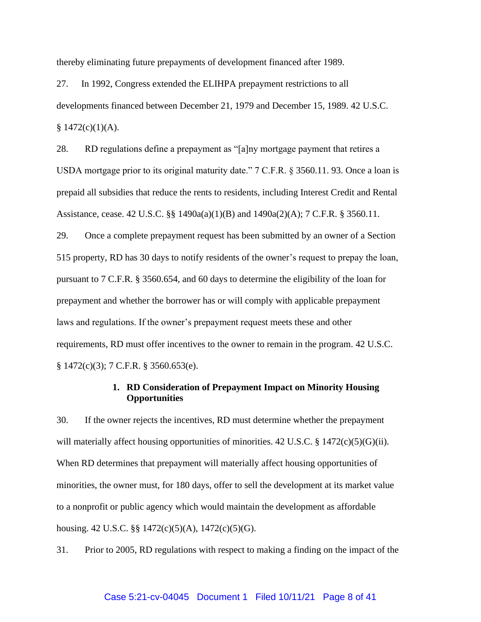thereby eliminating future prepayments of development financed after 1989.

27. In 1992, Congress extended the ELIHPA prepayment restrictions to all developments financed between December 21, 1979 and December 15, 1989. 42 U.S.C.  $$1472(c)(1)(A).$ 

28. RD regulations define a prepayment as "[a]ny mortgage payment that retires a USDA mortgage prior to its original maturity date." 7 C.F.R. § 3560.11. 93. Once a loan is prepaid all subsidies that reduce the rents to residents, including Interest Credit and Rental Assistance, cease. 42 U.S.C. §§ 1490a(a)(1)(B) and 1490a(2)(A); 7 C.F.R. § 3560.11.

29. Once a complete prepayment request has been submitted by an owner of a Section 515 property, RD has 30 days to notify residents of the owner's request to prepay the loan, pursuant to 7 C.F.R. § 3560.654, and 60 days to determine the eligibility of the loan for prepayment and whether the borrower has or will comply with applicable prepayment laws and regulations. If the owner's prepayment request meets these and other requirements, RD must offer incentives to the owner to remain in the program. 42 U.S.C. § 1472(c)(3); 7 C.F.R. § 3560.653(e).

# **1. RD Consideration of Prepayment Impact on Minority Housing Opportunities**

30. If the owner rejects the incentives, RD must determine whether the prepayment will materially affect housing opportunities of minorities. 42 U.S.C. § 1472(c)(5)(G)(ii). When RD determines that prepayment will materially affect housing opportunities of minorities, the owner must, for 180 days, offer to sell the development at its market value to a nonprofit or public agency which would maintain the development as affordable housing. 42 U.S.C. §§ 1472(c)(5)(A), 1472(c)(5)(G).

31. Prior to 2005, RD regulations with respect to making a finding on the impact of the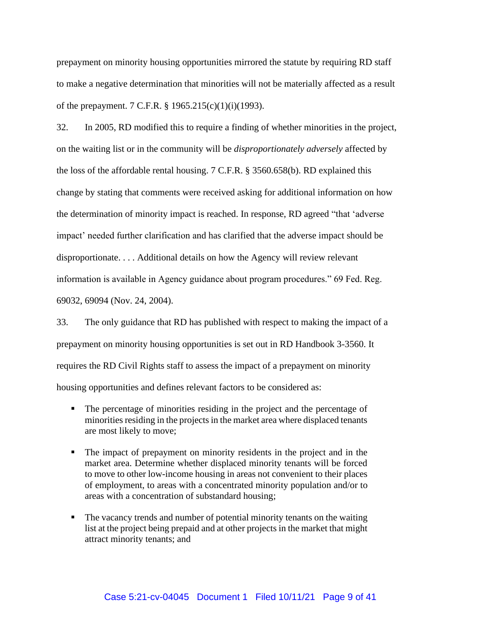prepayment on minority housing opportunities mirrored the statute by requiring RD staff to make a negative determination that minorities will not be materially affected as a result of the prepayment. 7 C.F.R. § 1965.215(c)(1)(i)(1993).

32. In 2005, RD modified this to require a finding of whether minorities in the project, on the waiting list or in the community will be *disproportionately adversely* affected by the loss of the affordable rental housing. 7 C.F.R. § 3560.658(b). RD explained this change by stating that comments were received asking for additional information on how the determination of minority impact is reached. In response, RD agreed "that 'adverse impact' needed further clarification and has clarified that the adverse impact should be disproportionate. . . . Additional details on how the Agency will review relevant information is available in Agency guidance about program procedures." 69 Fed. Reg. 69032, 69094 (Nov. 24, 2004).

33. The only guidance that RD has published with respect to making the impact of a prepayment on minority housing opportunities is set out in RD Handbook 3-3560. It requires the RD Civil Rights staff to assess the impact of a prepayment on minority housing opportunities and defines relevant factors to be considered as:

- The percentage of minorities residing in the project and the percentage of minorities residing in the projects in the market area where displaced tenants are most likely to move;
- The impact of prepayment on minority residents in the project and in the market area. Determine whether displaced minority tenants will be forced to move to other low-income housing in areas not convenient to their places of employment, to areas with a concentrated minority population and/or to areas with a concentration of substandard housing;
- The vacancy trends and number of potential minority tenants on the waiting list at the project being prepaid and at other projects in the market that might attract minority tenants; and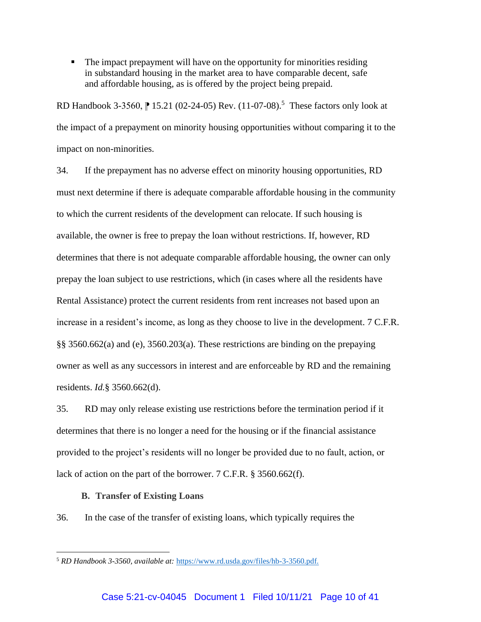▪ The impact prepayment will have on the opportunity for minorities residing in substandard housing in the market area to have comparable decent, safe and affordable housing, as is offered by the project being prepaid.

RD Handbook 3-3560, | 15.21 (02-24-05) Rev. (11-07-08).<sup>5</sup> These factors only look at the impact of a prepayment on minority housing opportunities without comparing it to the impact on non-minorities.

34. If the prepayment has no adverse effect on minority housing opportunities, RD must next determine if there is adequate comparable affordable housing in the community to which the current residents of the development can relocate. If such housing is available, the owner is free to prepay the loan without restrictions. If, however, RD determines that there is not adequate comparable affordable housing, the owner can only prepay the loan subject to use restrictions, which (in cases where all the residents have Rental Assistance) protect the current residents from rent increases not based upon an increase in a resident's income, as long as they choose to live in the development. 7 C.F.R. §§ 3560.662(a) and (e), 3560.203(a). These restrictions are binding on the prepaying owner as well as any successors in interest and are enforceable by RD and the remaining residents. *Id.*§ 3560.662(d).

35. RD may only release existing use restrictions before the termination period if it determines that there is no longer a need for the housing or if the financial assistance provided to the project's residents will no longer be provided due to no fault, action, or lack of action on the part of the borrower. 7 C.F.R. § 3560.662(f).

#### **B. Transfer of Existing Loans**

36. In the case of the transfer of existing loans, which typically requires the

<sup>5</sup> *RD Handbook 3-3560, available at:* [https://www.rd.usda.gov/files/hb-3-3560.pdf.](https://www.rd.usda.gov/files/hb-3-3560.pdf)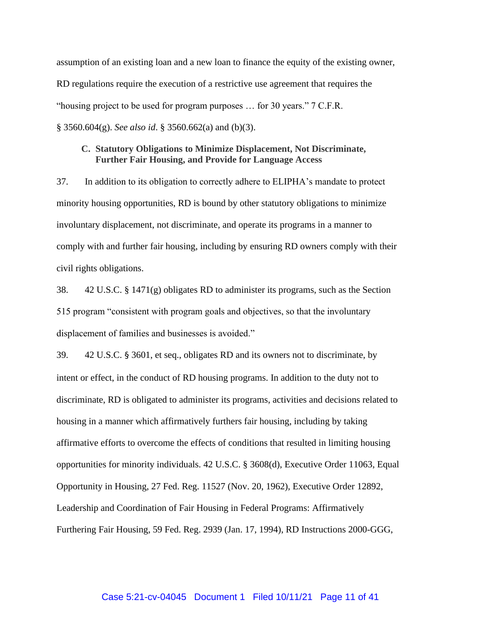assumption of an existing loan and a new loan to finance the equity of the existing owner, RD regulations require the execution of a restrictive use agreement that requires the "housing project to be used for program purposes … for 30 years." 7 C.F.R. § 3560.604(g). *See also id*. § 3560.662(a) and (b)(3).

# **C. Statutory Obligations to Minimize Displacement, Not Discriminate, Further Fair Housing, and Provide for Language Access**

37. In addition to its obligation to correctly adhere to ELIPHA's mandate to protect minority housing opportunities, RD is bound by other statutory obligations to minimize involuntary displacement, not discriminate, and operate its programs in a manner to comply with and further fair housing, including by ensuring RD owners comply with their civil rights obligations.

38. 42 U.S.C. § 1471(g) obligates RD to administer its programs, such as the Section 515 program "consistent with program goals and objectives, so that the involuntary displacement of families and businesses is avoided."

39. 42 U.S.C. § 3601, et seq., obligates RD and its owners not to discriminate, by intent or effect, in the conduct of RD housing programs. In addition to the duty not to discriminate, RD is obligated to administer its programs, activities and decisions related to housing in a manner which affirmatively furthers fair housing, including by taking affirmative efforts to overcome the effects of conditions that resulted in limiting housing opportunities for minority individuals. 42 U.S.C. § 3608(d), Executive Order 11063, Equal Opportunity in Housing, 27 Fed. Reg. 11527 (Nov. 20, 1962), Executive Order 12892, Leadership and Coordination of Fair Housing in Federal Programs: Affirmatively Furthering Fair Housing, 59 Fed. Reg. 2939 (Jan. 17, 1994), RD Instructions 2000-GGG,

#### Case 5:21-cv-04045 Document 1 Filed 10/11/21 Page 11 of 41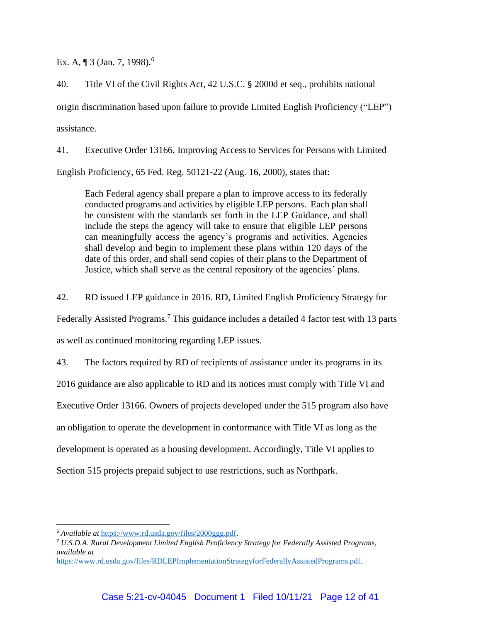Ex. A, ¶ 3 (Jan. 7, 1998).<sup>6</sup>

40. Title VI of the Civil Rights Act, 42 U.S.C. § 2000d et seq., prohibits national origin discrimination based upon failure to provide Limited English Proficiency ("LEP") assistance.

41. Executive Order 13166, Improving Access to Services for Persons with Limited English Proficiency, 65 Fed. Reg. 50121-22 (Aug. 16, 2000), states that:

Each Federal agency shall prepare a plan to improve access to its federally conducted programs and activities by eligible LEP persons. Each plan shall be consistent with the standards set forth in the LEP Guidance, and shall include the steps the agency will take to ensure that eligible LEP persons can meaningfully access the agency's programs and activities. Agencies shall develop and begin to implement these plans within 120 days of the date of this order, and shall send copies of their plans to the Department of Justice, which shall serve as the central repository of the agencies' plans.

42. RD issued LEP guidance in 2016. RD, Limited English Proficiency Strategy for

Federally Assisted Programs.<sup>7</sup> This guidance includes a detailed 4 factor test with 13 parts

as well as continued monitoring regarding LEP issues.

43. The factors required by RD of recipients of assistance under its programs in its

2016 guidance are also applicable to RD and its notices must comply with Title VI and

Executive Order 13166. Owners of projects developed under the 515 program also have

an obligation to operate the development in conformance with Title VI as long as the

development is operated as a housing development. Accordingly, Title VI applies to

Section 515 projects prepaid subject to use restrictions, such as Northpark.

<sup>6</sup> *Available at* [https://www.rd.usda.gov/files/2000ggg.pdf.](https://www.rd.usda.gov/files/2000ggg.pdf)

<sup>7</sup> *U.S.D.A. Rural Development Limited English Proficiency Strategy for Federally Assisted Programs, available at* 

[https://www.rd.usda.gov/files/RDLEPImplementationStrategyforFederallyAssistedPrograms.pdf.](https://www.rd.usda.gov/files/RDLEPImplementationStrategyforFederallyAssistedPrograms.pdf)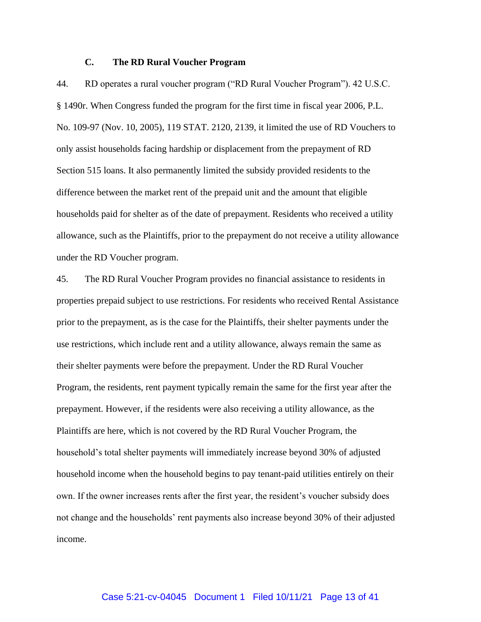## **C. The RD Rural Voucher Program**

44. RD operates a rural voucher program ("RD Rural Voucher Program"). 42 U.S.C. § 1490r. When Congress funded the program for the first time in fiscal year 2006, P.L. No. 109-97 (Nov. 10, 2005), 119 STAT. 2120, 2139, it limited the use of RD Vouchers to only assist households facing hardship or displacement from the prepayment of RD Section 515 loans. It also permanently limited the subsidy provided residents to the difference between the market rent of the prepaid unit and the amount that eligible households paid for shelter as of the date of prepayment. Residents who received a utility allowance, such as the Plaintiffs, prior to the prepayment do not receive a utility allowance under the RD Voucher program.

45. The RD Rural Voucher Program provides no financial assistance to residents in properties prepaid subject to use restrictions. For residents who received Rental Assistance prior to the prepayment, as is the case for the Plaintiffs, their shelter payments under the use restrictions, which include rent and a utility allowance, always remain the same as their shelter payments were before the prepayment. Under the RD Rural Voucher Program, the residents, rent payment typically remain the same for the first year after the prepayment. However, if the residents were also receiving a utility allowance, as the Plaintiffs are here, which is not covered by the RD Rural Voucher Program, the household's total shelter payments will immediately increase beyond 30% of adjusted household income when the household begins to pay tenant-paid utilities entirely on their own. If the owner increases rents after the first year, the resident's voucher subsidy does not change and the households' rent payments also increase beyond 30% of their adjusted income.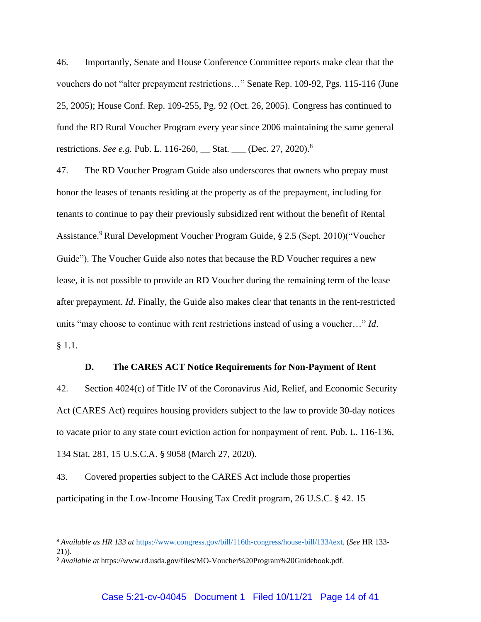46. Importantly, Senate and House Conference Committee reports make clear that the vouchers do not "alter prepayment restrictions…" Senate Rep. 109-92, Pgs. 115-116 (June 25, 2005); House Conf. Rep. 109-255, Pg. 92 (Oct. 26, 2005). Congress has continued to fund the RD Rural Voucher Program every year since 2006 maintaining the same general restrictions. *See e.g.* Pub. L. 116-260, Stat. \_\_ (Dec. 27, 2020).<sup>8</sup>

47. The RD Voucher Program Guide also underscores that owners who prepay must honor the leases of tenants residing at the property as of the prepayment, including for tenants to continue to pay their previously subsidized rent without the benefit of Rental Assistance.<sup>9</sup> Rural Development Voucher Program Guide, § 2.5 (Sept. 2010)("Voucher Guide"). The Voucher Guide also notes that because the RD Voucher requires a new lease, it is not possible to provide an RD Voucher during the remaining term of the lease after prepayment. *Id*. Finally, the Guide also makes clear that tenants in the rent-restricted units "may choose to continue with rent restrictions instead of using a voucher…" *Id*. § 1.1.

#### **D. The CARES ACT Notice Requirements for Non-Payment of Rent**

42. Section 4024(c) of Title IV of the Coronavirus Aid, Relief, and Economic Security Act (CARES Act) requires housing providers subject to the law to provide 30-day notices to vacate prior to any state court eviction action for nonpayment of rent. Pub. L. 116-136, 134 Stat. 281, 15 U.S.C.A. § 9058 (March 27, 2020).

43. Covered properties subject to the CARES Act include those properties participating in the Low-Income Housing Tax Credit program, 26 U.S.C. § 42. 15

<sup>8</sup> *Available as HR 133 at* [https://www.congress.gov/bill/116th-congress/house-bill/133/text.](https://www.congress.gov/bill/116th-congress/house-bill/133/text) (*See* HR 133- 21)).

<sup>9</sup> *Available at* [https://www.rd.usda.gov/files/MO-Voucher%20Program%20Guidebook.pdf.](https://www.rd.usda.gov/files/MO-Voucher%20Program%20Guidebook.pdf)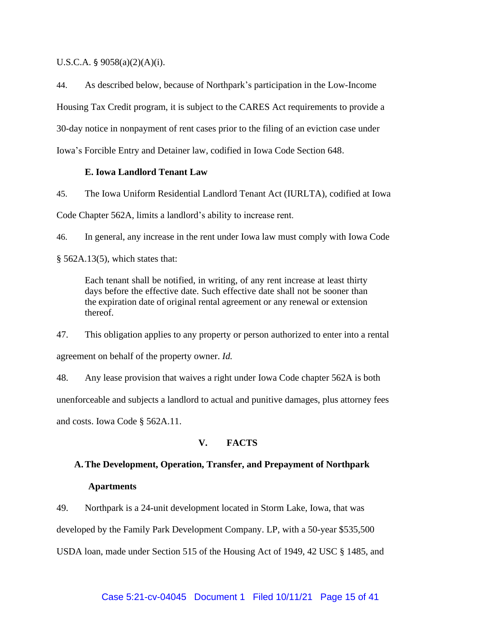U.S.C.A. §  $9058(a)(2)(A)(i)$ .

44. As described below, because of Northpark's participation in the Low-Income Housing Tax Credit program, it is subject to the CARES Act requirements to provide a 30-day notice in nonpayment of rent cases prior to the filing of an eviction case under Iowa's Forcible Entry and Detainer law, codified in Iowa Code Section 648.

#### **E. Iowa Landlord Tenant Law**

45. The Iowa Uniform Residential Landlord Tenant Act (IURLTA), codified at Iowa Code Chapter 562A, limits a landlord's ability to increase rent.

46. In general, any increase in the rent under Iowa law must comply with Iowa Code § 562A.13(5), which states that:

Each tenant shall be notified, in writing, of any rent increase at least thirty days before the effective date. Such effective date shall not be sooner than the expiration date of original rental agreement or any renewal or extension thereof.

47. This obligation applies to any property or person authorized to enter into a rental agreement on behalf of the property owner. *Id.*

48. Any lease provision that waives a right under Iowa Code chapter 562A is both unenforceable and subjects a landlord to actual and punitive damages, plus attorney fees and costs. Iowa Code § 562A.11.

# **V. FACTS**

# **A.The Development, Operation, Transfer, and Prepayment of Northpark**

#### **Apartments**

49. Northpark is a 24-unit development located in Storm Lake, Iowa, that was

developed by the Family Park Development Company. LP, with a 50-year \$535,500

USDA loan, made under Section 515 of the Housing Act of 1949, 42 USC § 1485, and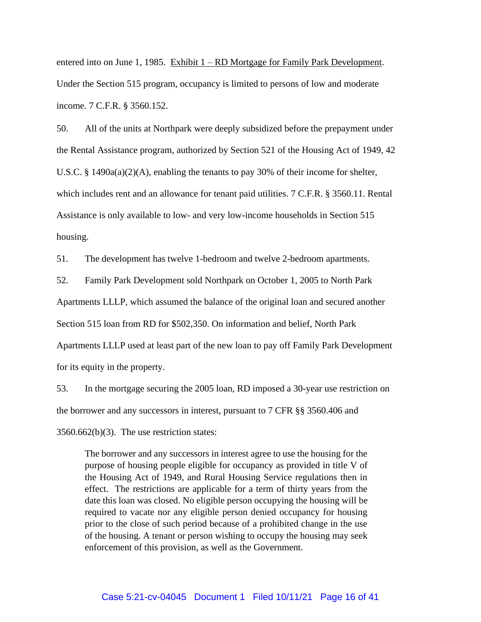entered into on June 1, 1985. Exhibit  $1 - RD$  Mortgage for Family Park Development. Under the Section 515 program, occupancy is limited to persons of low and moderate income. 7 C.F.R. § 3560.152.

50. All of the units at Northpark were deeply subsidized before the prepayment under the Rental Assistance program, authorized by Section 521 of the Housing Act of 1949, 42 U.S.C. § 1490a(a)(2)(A), enabling the tenants to pay 30% of their income for shelter, which includes rent and an allowance for tenant paid utilities. 7 C.F.R. § 3560.11. Rental Assistance is only available to low- and very low-income households in Section 515 housing.

51. The development has twelve 1-bedroom and twelve 2-bedroom apartments.

52. Family Park Development sold Northpark on October 1, 2005 to North Park

Apartments LLLP, which assumed the balance of the original loan and secured another

Section 515 loan from RD for \$502,350. On information and belief, North Park

Apartments LLLP used at least part of the new loan to pay off Family Park Development for its equity in the property.

53. In the mortgage securing the 2005 loan, RD imposed a 30-year use restriction on the borrower and any successors in interest, pursuant to 7 CFR §§ 3560.406 and

3560.662(b)(3). The use restriction states:

The borrower and any successors in interest agree to use the housing for the purpose of housing people eligible for occupancy as provided in title V of the Housing Act of 1949, and Rural Housing Service regulations then in effect. The restrictions are applicable for a term of thirty years from the date this loan was closed. No eligible person occupying the housing will be required to vacate nor any eligible person denied occupancy for housing prior to the close of such period because of a prohibited change in the use of the housing. A tenant or person wishing to occupy the housing may seek enforcement of this provision, as well as the Government.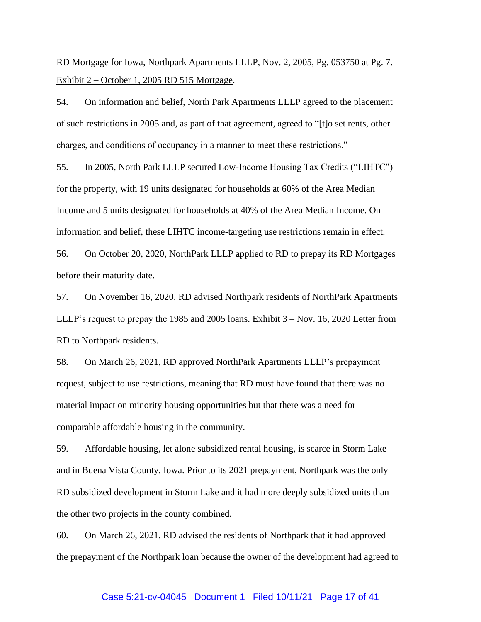RD Mortgage for Iowa, Northpark Apartments LLLP, Nov. 2, 2005, Pg. 053750 at Pg. 7. Exhibit 2 – October 1, 2005 RD 515 Mortgage.

54. On information and belief, North Park Apartments LLLP agreed to the placement of such restrictions in 2005 and, as part of that agreement, agreed to "[t]o set rents, other charges, and conditions of occupancy in a manner to meet these restrictions."

55. In 2005, North Park LLLP secured Low-Income Housing Tax Credits ("LIHTC") for the property, with 19 units designated for households at 60% of the Area Median Income and 5 units designated for households at 40% of the Area Median Income. On information and belief, these LIHTC income-targeting use restrictions remain in effect.

56. On October 20, 2020, NorthPark LLLP applied to RD to prepay its RD Mortgages before their maturity date.

57. On November 16, 2020, RD advised Northpark residents of NorthPark Apartments LLLP's request to prepay the 1985 and 2005 loans. Exhibit 3 – Nov. 16, 2020 Letter from RD to Northpark residents.

58. On March 26, 2021, RD approved NorthPark Apartments LLLP's prepayment request, subject to use restrictions, meaning that RD must have found that there was no material impact on minority housing opportunities but that there was a need for comparable affordable housing in the community.

59. Affordable housing, let alone subsidized rental housing, is scarce in Storm Lake and in Buena Vista County, Iowa. Prior to its 2021 prepayment, Northpark was the only RD subsidized development in Storm Lake and it had more deeply subsidized units than the other two projects in the county combined.

60. On March 26, 2021, RD advised the residents of Northpark that it had approved the prepayment of the Northpark loan because the owner of the development had agreed to

#### Case 5:21-cv-04045 Document 1 Filed 10/11/21 Page 17 of 41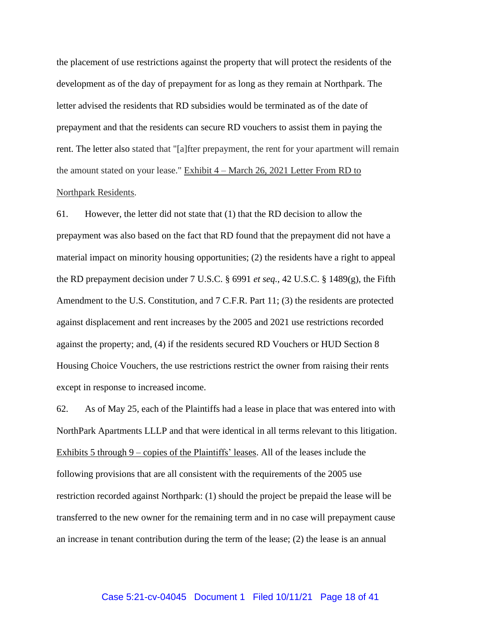the placement of use restrictions against the property that will protect the residents of the development as of the day of prepayment for as long as they remain at Northpark. The letter advised the residents that RD subsidies would be terminated as of the date of prepayment and that the residents can secure RD vouchers to assist them in paying the rent. The letter also stated that "[a]fter prepayment, the rent for your apartment will remain the amount stated on your lease." Exhibit 4 – March 26, 2021 Letter From RD to Northpark Residents.

61. However, the letter did not state that (1) that the RD decision to allow the prepayment was also based on the fact that RD found that the prepayment did not have a material impact on minority housing opportunities; (2) the residents have a right to appeal the RD prepayment decision under 7 U.S.C. § 6991 *et seq.*, 42 U.S.C. § 1489(g), the Fifth Amendment to the U.S. Constitution, and 7 C.F.R. Part 11; (3) the residents are protected against displacement and rent increases by the 2005 and 2021 use restrictions recorded against the property; and, (4) if the residents secured RD Vouchers or HUD Section 8 Housing Choice Vouchers, the use restrictions restrict the owner from raising their rents except in response to increased income.

62. As of May 25, each of the Plaintiffs had a lease in place that was entered into with NorthPark Apartments LLLP and that were identical in all terms relevant to this litigation. Exhibits 5 through 9 – copies of the Plaintiffs' leases. All of the leases include the following provisions that are all consistent with the requirements of the 2005 use restriction recorded against Northpark: (1) should the project be prepaid the lease will be transferred to the new owner for the remaining term and in no case will prepayment cause an increase in tenant contribution during the term of the lease; (2) the lease is an annual

#### Case 5:21-cv-04045 Document 1 Filed 10/11/21 Page 18 of 41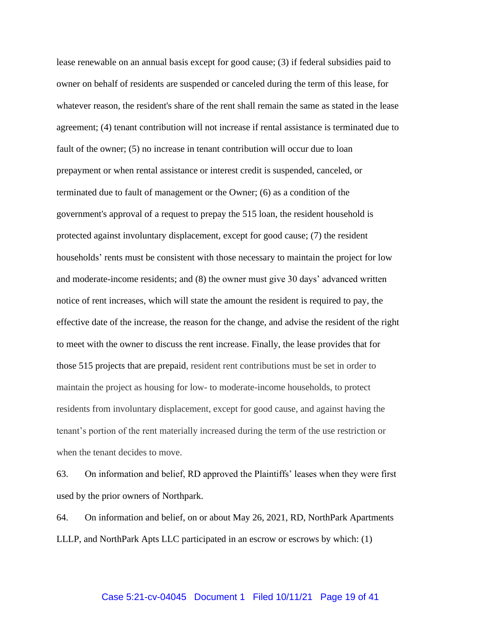lease renewable on an annual basis except for good cause; (3) if federal subsidies paid to owner on behalf of residents are suspended or canceled during the term of this lease, for whatever reason, the resident's share of the rent shall remain the same as stated in the lease agreement; (4) tenant contribution will not increase if rental assistance is terminated due to fault of the owner; (5) no increase in tenant contribution will occur due to loan prepayment or when rental assistance or interest credit is suspended, canceled, or terminated due to fault of management or the Owner; (6) as a condition of the government's approval of a request to prepay the 515 loan, the resident household is protected against involuntary displacement, except for good cause; (7) the resident households' rents must be consistent with those necessary to maintain the project for low and moderate-income residents; and (8) the owner must give 30 days' advanced written notice of rent increases, which will state the amount the resident is required to pay, the effective date of the increase, the reason for the change, and advise the resident of the right to meet with the owner to discuss the rent increase. Finally, the lease provides that for those 515 projects that are prepaid, resident rent contributions must be set in order to maintain the project as housing for low- to moderate-income households, to protect residents from involuntary displacement, except for good cause, and against having the tenant's portion of the rent materially increased during the term of the use restriction or when the tenant decides to move.

63. On information and belief, RD approved the Plaintiffs' leases when they were first used by the prior owners of Northpark.

64. On information and belief, on or about May 26, 2021, RD, NorthPark Apartments LLLP, and NorthPark Apts LLC participated in an escrow or escrows by which: (1)

#### Case 5:21-cv-04045 Document 1 Filed 10/11/21 Page 19 of 41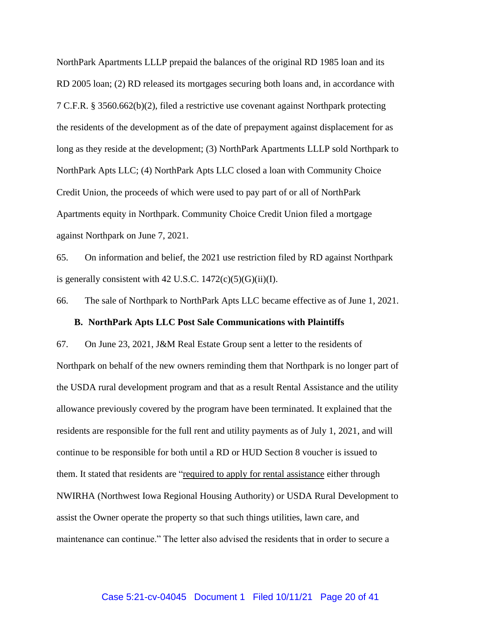NorthPark Apartments LLLP prepaid the balances of the original RD 1985 loan and its RD 2005 loan; (2) RD released its mortgages securing both loans and, in accordance with 7 C.F.R. § 3560.662(b)(2), filed a restrictive use covenant against Northpark protecting the residents of the development as of the date of prepayment against displacement for as long as they reside at the development; (3) NorthPark Apartments LLLP sold Northpark to NorthPark Apts LLC; (4) NorthPark Apts LLC closed a loan with Community Choice Credit Union, the proceeds of which were used to pay part of or all of NorthPark Apartments equity in Northpark. Community Choice Credit Union filed a mortgage against Northpark on June 7, 2021.

65. On information and belief, the 2021 use restriction filed by RD against Northpark is generally consistent with 42 U.S.C.  $1472(c)(5)(G)(ii)(I)$ .

66. The sale of Northpark to NorthPark Apts LLC became effective as of June 1, 2021.

#### **B. NorthPark Apts LLC Post Sale Communications with Plaintiffs**

67. On June 23, 2021, J&M Real Estate Group sent a letter to the residents of Northpark on behalf of the new owners reminding them that Northpark is no longer part of the USDA rural development program and that as a result Rental Assistance and the utility allowance previously covered by the program have been terminated. It explained that the residents are responsible for the full rent and utility payments as of July 1, 2021, and will continue to be responsible for both until a RD or HUD Section 8 voucher is issued to them. It stated that residents are "required to apply for rental assistance either through NWIRHA (Northwest Iowa Regional Housing Authority) or USDA Rural Development to assist the Owner operate the property so that such things utilities, lawn care, and maintenance can continue." The letter also advised the residents that in order to secure a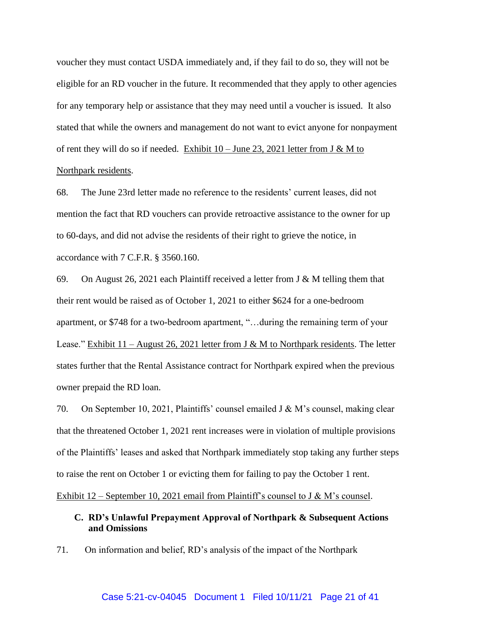voucher they must contact USDA immediately and, if they fail to do so, they will not be eligible for an RD voucher in the future. It recommended that they apply to other agencies for any temporary help or assistance that they may need until a voucher is issued. It also stated that while the owners and management do not want to evict anyone for nonpayment of rent they will do so if needed. Exhibit  $10 -$  June 23, 2021 letter from J & M to Northpark residents.

68. The June 23rd letter made no reference to the residents' current leases, did not mention the fact that RD vouchers can provide retroactive assistance to the owner for up to 60-days, and did not advise the residents of their right to grieve the notice, in accordance with 7 C.F.R. § 3560.160.

69. On August 26, 2021 each Plaintiff received a letter from J & M telling them that their rent would be raised as of October 1, 2021 to either \$624 for a one-bedroom apartment, or \$748 for a two-bedroom apartment, "…during the remaining term of your Lease." Exhibit  $11 -$  August 26, 2021 letter from J & M to Northpark residents. The letter states further that the Rental Assistance contract for Northpark expired when the previous owner prepaid the RD loan.

70. On September 10, 2021, Plaintiffs' counsel emailed J & M's counsel, making clear that the threatened October 1, 2021 rent increases were in violation of multiple provisions of the Plaintiffs' leases and asked that Northpark immediately stop taking any further steps to raise the rent on October 1 or evicting them for failing to pay the October 1 rent.

Exhibit  $12$  – September 10, 2021 email from Plaintiff's counsel to J & M's counsel.

# **C. RD's Unlawful Prepayment Approval of Northpark & Subsequent Actions and Omissions**

71. On information and belief, RD's analysis of the impact of the Northpark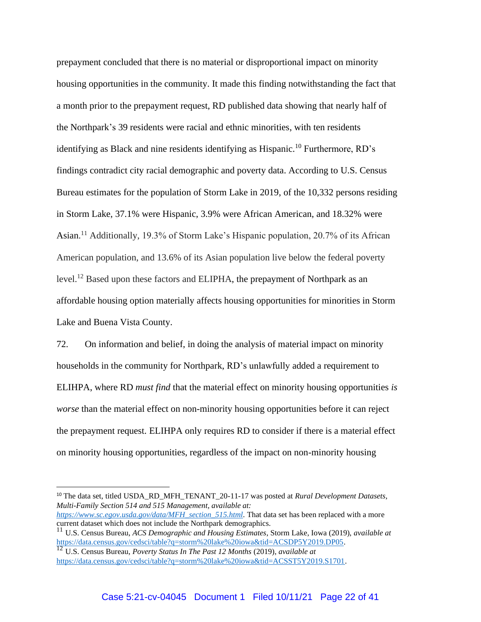prepayment concluded that there is no material or disproportional impact on minority housing opportunities in the community. It made this finding notwithstanding the fact that a month prior to the prepayment request, RD published data showing that nearly half of the Northpark's 39 residents were racial and ethnic minorities, with ten residents identifying as Black and nine residents identifying as Hispanic.<sup>10</sup> Furthermore, RD's findings contradict city racial demographic and poverty data. According to U.S. Census Bureau estimates for the population of Storm Lake in 2019, of the 10,332 persons residing in Storm Lake, 37.1% were Hispanic, 3.9% were African American, and 18.32% were Asian.<sup>11</sup> Additionally, 19.3% of Storm Lake's Hispanic population, 20.7% of its African American population, and 13.6% of its Asian population live below the federal poverty level.<sup>12</sup> Based upon these factors and ELIPHA, the prepayment of Northpark as an affordable housing option materially affects housing opportunities for minorities in Storm Lake and Buena Vista County.

72. On information and belief, in doing the analysis of material impact on minority households in the community for Northpark, RD's unlawfully added a requirement to ELIHPA, where RD *must find* that the material effect on minority housing opportunities *is worse* than the material effect on non-minority housing opportunities before it can reject the prepayment request. ELIHPA only requires RD to consider if there is a material effect on minority housing opportunities, regardless of the impact on non-minority housing

<sup>10</sup> The data set, titled USDA\_RD\_MFH\_TENANT\_20-11-17 was posted at *Rural Development Datasets, Multi-Family Section 514 and 515 Management, available at:* 

*[https://www.sc.egov.usda.gov/data/MFH\\_section\\_515.html.](https://www.sc.egov.usda.gov/data/MFH_section_515.html)* That data set has been replaced with a more current dataset which does not include the Northpark demographics.

<sup>11</sup> U.S. Census Bureau, *ACS Demographic and Housing Estimates*, Storm Lake, Iowa (2019), *available at*  [https://data.census.gov/cedsci/table?q=storm%20lake%20iowa&tid=ACSDP5Y2019.DP05.](https://data.census.gov/cedsci/table?q=storm%20lake%20iowa&tid=ACSDP5Y2019.DP05)

<sup>12</sup> U.S. Census Bureau, *Poverty Status In The Past 12 Months* (2019), *available at* [https://data.census.gov/cedsci/table?q=storm%20lake%20iowa&tid=ACSST5Y2019.S1701.](https://data.census.gov/cedsci/table?q=storm%20lake%20iowa&tid=ACSST5Y2019.S1701)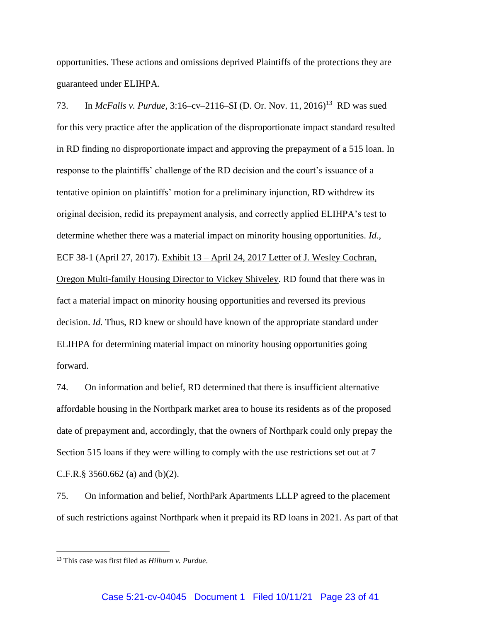opportunities. These actions and omissions deprived Plaintiffs of the protections they are guaranteed under ELIHPA.

73. In *McFalls v. Purdue,* 3:16–cv–2116–SI (D. Or. Nov. 11, 2016)<sup>13</sup> RD was sued for this very practice after the application of the disproportionate impact standard resulted in RD finding no disproportionate impact and approving the prepayment of a 515 loan. In response to the plaintiffs' challenge of the RD decision and the court's issuance of a tentative opinion on plaintiffs' motion for a preliminary injunction, RD withdrew its original decision, redid its prepayment analysis, and correctly applied ELIHPA's test to determine whether there was a material impact on minority housing opportunities. *Id.,* ECF 38-1 (April 27, 2017). Exhibit 13 – April 24, 2017 Letter of J. Wesley Cochran, Oregon Multi-family Housing Director to Vickey Shiveley. RD found that there was in fact a material impact on minority housing opportunities and reversed its previous decision. *Id.* Thus, RD knew or should have known of the appropriate standard under ELIHPA for determining material impact on minority housing opportunities going forward.

74. On information and belief, RD determined that there is insufficient alternative affordable housing in the Northpark market area to house its residents as of the proposed date of prepayment and, accordingly, that the owners of Northpark could only prepay the Section 515 loans if they were willing to comply with the use restrictions set out at 7 C.F.R.§ 3560.662 (a) and (b)(2).

75. On information and belief, NorthPark Apartments LLLP agreed to the placement of such restrictions against Northpark when it prepaid its RD loans in 2021. As part of that

<sup>13</sup> This case was first filed as *Hilburn v. Purdue*.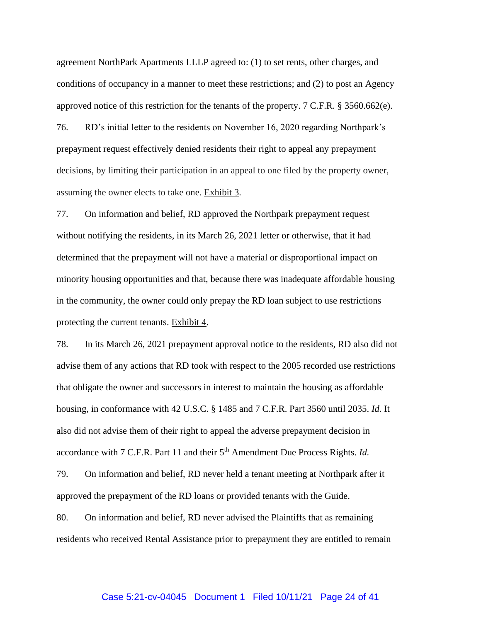agreement NorthPark Apartments LLLP agreed to: (1) to set rents, other charges, and conditions of occupancy in a manner to meet these restrictions; and (2) to post an Agency approved notice of this restriction for the tenants of the property. 7 C.F.R. § 3560.662(e).

76. RD's initial letter to the residents on November 16, 2020 regarding Northpark's prepayment request effectively denied residents their right to appeal any prepayment decisions, by limiting their participation in an appeal to one filed by the property owner, assuming the owner elects to take one. Exhibit 3.

77. On information and belief, RD approved the Northpark prepayment request without notifying the residents, in its March 26, 2021 letter or otherwise, that it had determined that the prepayment will not have a material or disproportional impact on minority housing opportunities and that, because there was inadequate affordable housing in the community, the owner could only prepay the RD loan subject to use restrictions protecting the current tenants. Exhibit 4.

78. In its March 26, 2021 prepayment approval notice to the residents, RD also did not advise them of any actions that RD took with respect to the 2005 recorded use restrictions that obligate the owner and successors in interest to maintain the housing as affordable housing, in conformance with 42 U.S.C. § 1485 and 7 C.F.R. Part 3560 until 2035. *Id.* It also did not advise them of their right to appeal the adverse prepayment decision in accordance with 7 C.F.R. Part 11 and their 5<sup>th</sup> Amendment Due Process Rights. *Id.* 

79. On information and belief, RD never held a tenant meeting at Northpark after it approved the prepayment of the RD loans or provided tenants with the Guide.

80. On information and belief, RD never advised the Plaintiffs that as remaining residents who received Rental Assistance prior to prepayment they are entitled to remain

#### Case 5:21-cv-04045 Document 1 Filed 10/11/21 Page 24 of 41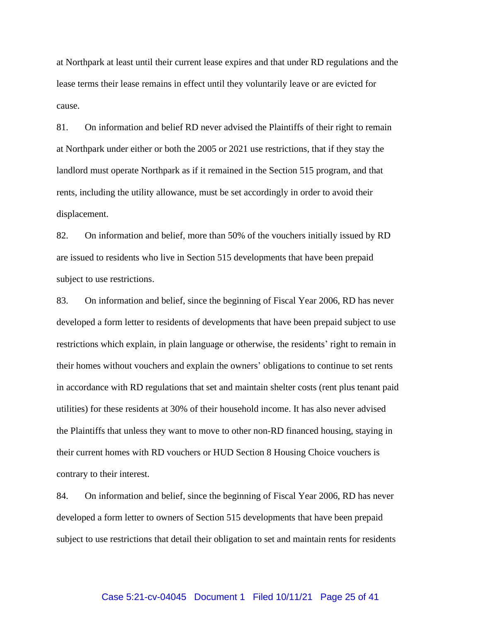at Northpark at least until their current lease expires and that under RD regulations and the lease terms their lease remains in effect until they voluntarily leave or are evicted for cause.

81. On information and belief RD never advised the Plaintiffs of their right to remain at Northpark under either or both the 2005 or 2021 use restrictions, that if they stay the landlord must operate Northpark as if it remained in the Section 515 program, and that rents, including the utility allowance, must be set accordingly in order to avoid their displacement.

82. On information and belief, more than 50% of the vouchers initially issued by RD are issued to residents who live in Section 515 developments that have been prepaid subject to use restrictions.

83. On information and belief, since the beginning of Fiscal Year 2006, RD has never developed a form letter to residents of developments that have been prepaid subject to use restrictions which explain, in plain language or otherwise, the residents' right to remain in their homes without vouchers and explain the owners' obligations to continue to set rents in accordance with RD regulations that set and maintain shelter costs (rent plus tenant paid utilities) for these residents at 30% of their household income. It has also never advised the Plaintiffs that unless they want to move to other non-RD financed housing, staying in their current homes with RD vouchers or HUD Section 8 Housing Choice vouchers is contrary to their interest.

84. On information and belief, since the beginning of Fiscal Year 2006, RD has never developed a form letter to owners of Section 515 developments that have been prepaid subject to use restrictions that detail their obligation to set and maintain rents for residents

#### Case 5:21-cv-04045 Document 1 Filed 10/11/21 Page 25 of 41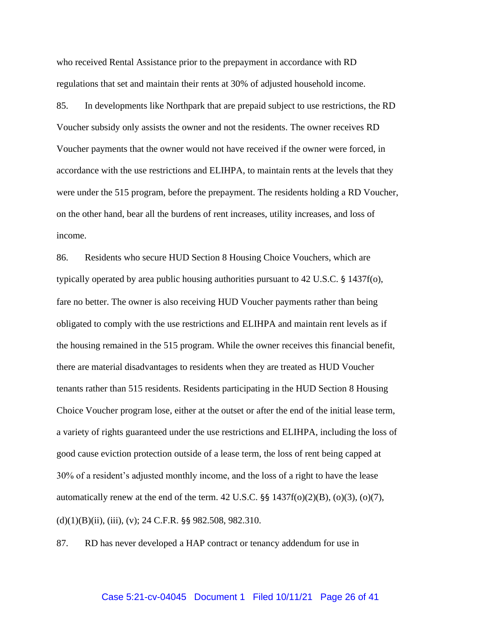who received Rental Assistance prior to the prepayment in accordance with RD regulations that set and maintain their rents at 30% of adjusted household income.

85. In developments like Northpark that are prepaid subject to use restrictions, the RD Voucher subsidy only assists the owner and not the residents. The owner receives RD Voucher payments that the owner would not have received if the owner were forced, in accordance with the use restrictions and ELIHPA, to maintain rents at the levels that they were under the 515 program, before the prepayment. The residents holding a RD Voucher, on the other hand, bear all the burdens of rent increases, utility increases, and loss of income.

86. Residents who secure HUD Section 8 Housing Choice Vouchers, which are typically operated by area public housing authorities pursuant to 42 U.S.C. § 1437f(o), fare no better. The owner is also receiving HUD Voucher payments rather than being obligated to comply with the use restrictions and ELIHPA and maintain rent levels as if the housing remained in the 515 program. While the owner receives this financial benefit, there are material disadvantages to residents when they are treated as HUD Voucher tenants rather than 515 residents. Residents participating in the HUD Section 8 Housing Choice Voucher program lose, either at the outset or after the end of the initial lease term, a variety of rights guaranteed under the use restrictions and ELIHPA, including the loss of good cause eviction protection outside of a lease term, the loss of rent being capped at 30% of a resident's adjusted monthly income, and the loss of a right to have the lease automatically renew at the end of the term.  $42 \text{ U.S.C.}$  §§  $1437\text{f(o)}(2)(B)$ ,  $(o)(3)$ ,  $(o)(7)$ ,  $(d)(1)(B)(ii)$ , (iii), (v); 24 C.F.R. §§ 982.508, 982.310.

87. RD has never developed a HAP contract or tenancy addendum for use in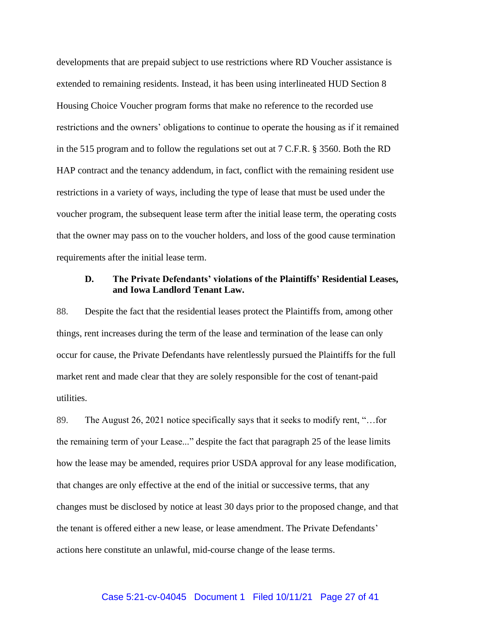developments that are prepaid subject to use restrictions where RD Voucher assistance is extended to remaining residents. Instead, it has been using interlineated HUD Section 8 Housing Choice Voucher program forms that make no reference to the recorded use restrictions and the owners' obligations to continue to operate the housing as if it remained in the 515 program and to follow the regulations set out at 7 C.F.R. § 3560. Both the RD HAP contract and the tenancy addendum, in fact, conflict with the remaining resident use restrictions in a variety of ways, including the type of lease that must be used under the voucher program, the subsequent lease term after the initial lease term, the operating costs that the owner may pass on to the voucher holders, and loss of the good cause termination requirements after the initial lease term.

# **D. The Private Defendants' violations of the Plaintiffs' Residential Leases, and Iowa Landlord Tenant Law.**

88. Despite the fact that the residential leases protect the Plaintiffs from, among other things, rent increases during the term of the lease and termination of the lease can only occur for cause, the Private Defendants have relentlessly pursued the Plaintiffs for the full market rent and made clear that they are solely responsible for the cost of tenant-paid utilities.

89. The August 26, 2021 notice specifically says that it seeks to modify rent, "...for the remaining term of your Lease..." despite the fact that paragraph 25 of the lease limits how the lease may be amended, requires prior USDA approval for any lease modification, that changes are only effective at the end of the initial or successive terms, that any changes must be disclosed by notice at least 30 days prior to the proposed change, and that the tenant is offered either a new lease, or lease amendment. The Private Defendants' actions here constitute an unlawful, mid-course change of the lease terms.

#### Case 5:21-cv-04045 Document 1 Filed 10/11/21 Page 27 of 41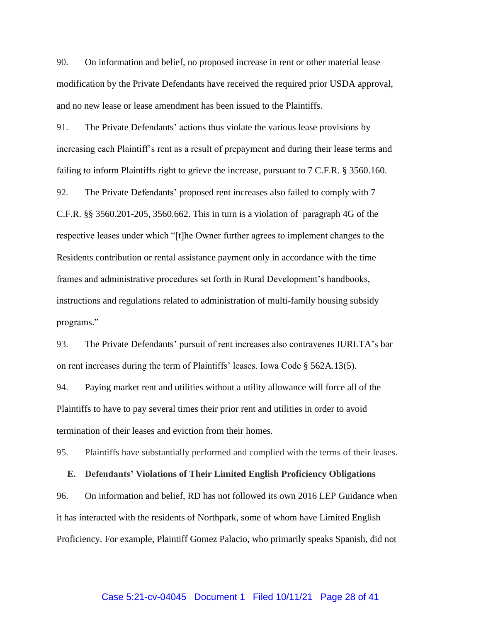90. On information and belief, no proposed increase in rent or other material lease modification by the Private Defendants have received the required prior USDA approval, and no new lease or lease amendment has been issued to the Plaintiffs.

91. The Private Defendants' actions thus violate the various lease provisions by increasing each Plaintiff's rent as a result of prepayment and during their lease terms and failing to inform Plaintiffs right to grieve the increase, pursuant to 7 C.F.R. § 3560.160.

92. The Private Defendants' proposed rent increases also failed to comply with 7 C.F.R. §§ 3560.201-205, 3560.662. This in turn is a violation of paragraph 4G of the respective leases under which "[t]he Owner further agrees to implement changes to the Residents contribution or rental assistance payment only in accordance with the time frames and administrative procedures set forth in Rural Development's handbooks, instructions and regulations related to administration of multi-family housing subsidy programs."

93. The Private Defendants' pursuit of rent increases also contravenes IURLTA's bar on rent increases during the term of Plaintiffs' leases. Iowa Code § 562A.13(5).

94. Paying market rent and utilities without a utility allowance will force all of the Plaintiffs to have to pay several times their prior rent and utilities in order to avoid termination of their leases and eviction from their homes.

95. Plaintiffs have substantially performed and complied with the terms of their leases.

**E. Defendants' Violations of Their Limited English Proficiency Obligations** 96. On information and belief, RD has not followed its own 2016 LEP Guidance when it has interacted with the residents of Northpark, some of whom have Limited English Proficiency. For example, Plaintiff Gomez Palacio, who primarily speaks Spanish, did not

#### Case 5:21-cv-04045 Document 1 Filed 10/11/21 Page 28 of 41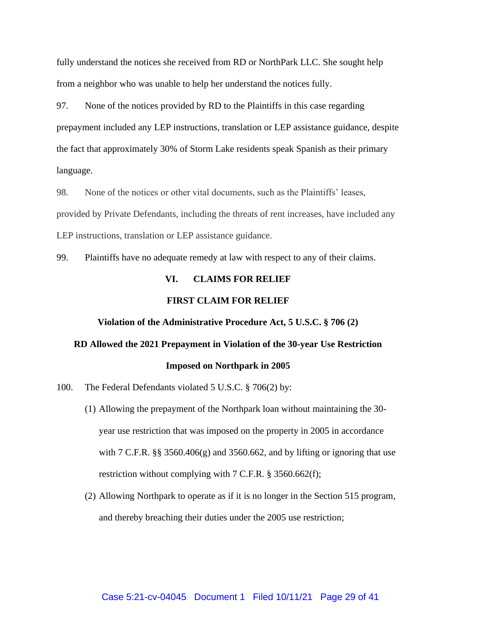fully understand the notices she received from RD or NorthPark LLC. She sought help from a neighbor who was unable to help her understand the notices fully.

97. None of the notices provided by RD to the Plaintiffs in this case regarding prepayment included any LEP instructions, translation or LEP assistance guidance, despite the fact that approximately 30% of Storm Lake residents speak Spanish as their primary language.

98. None of the notices or other vital documents, such as the Plaintiffs' leases, provided by Private Defendants, including the threats of rent increases, have included any LEP instructions, translation or LEP assistance guidance.

99. Plaintiffs have no adequate remedy at law with respect to any of their claims.

#### **VI. CLAIMS FOR RELIEF**

#### **FIRST CLAIM FOR RELIEF**

#### **Violation of the Administrative Procedure Act, 5 U.S.C. § 706 (2)**

# **RD Allowed the 2021 Prepayment in Violation of the 30-year Use Restriction Imposed on Northpark in 2005**

- 100. The Federal Defendants violated 5 U.S.C. § 706(2) by:
	- (1) Allowing the prepayment of the Northpark loan without maintaining the 30 year use restriction that was imposed on the property in 2005 in accordance with 7 C.F.R.  $\S$ § 3560.406(g) and 3560.662, and by lifting or ignoring that use restriction without complying with 7 C.F.R. § 3560.662(f);
	- (2) Allowing Northpark to operate as if it is no longer in the Section 515 program, and thereby breaching their duties under the 2005 use restriction;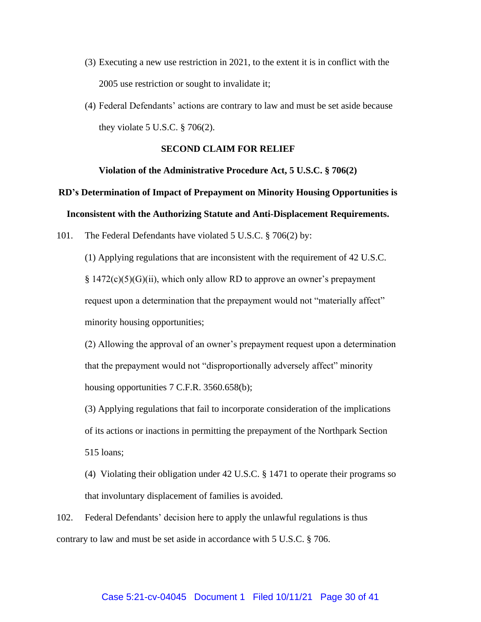- (3) Executing a new use restriction in 2021, to the extent it is in conflict with the 2005 use restriction or sought to invalidate it;
- (4) Federal Defendants' actions are contrary to law and must be set aside because they violate  $5 \text{ U.S.C. }$  \$706(2).

#### **SECOND CLAIM FOR RELIEF**

#### **Violation of the Administrative Procedure Act, 5 U.S.C. § 706(2)**

# **RD's Determination of Impact of Prepayment on Minority Housing Opportunities is Inconsistent with the Authorizing Statute and Anti-Displacement Requirements.**

101. The Federal Defendants have violated 5 U.S.C. § 706(2) by:

(1) Applying regulations that are inconsistent with the requirement of 42 U.S.C. § 1472(c)(5)(G)(ii), which only allow RD to approve an owner's prepayment request upon a determination that the prepayment would not "materially affect" minority housing opportunities;

(2) Allowing the approval of an owner's prepayment request upon a determination that the prepayment would not "disproportionally adversely affect" minority housing opportunities 7 C.F.R. 3560.658(b);

(3) Applying regulations that fail to incorporate consideration of the implications of its actions or inactions in permitting the prepayment of the Northpark Section 515 loans;

(4) Violating their obligation under 42 U.S.C. § 1471 to operate their programs so that involuntary displacement of families is avoided.

102. Federal Defendants' decision here to apply the unlawful regulations is thus contrary to law and must be set aside in accordance with 5 U.S.C. § 706.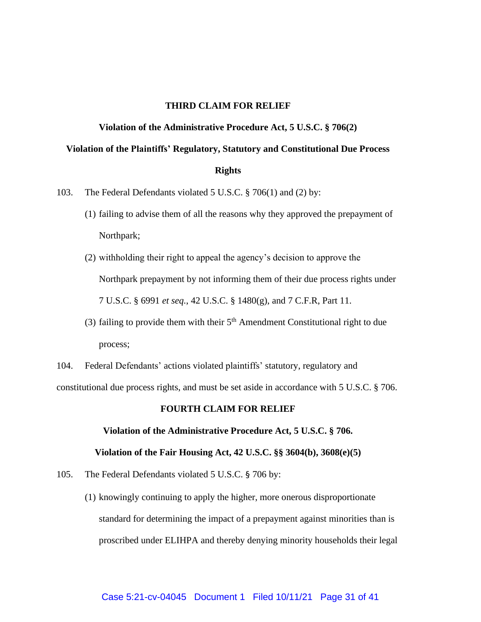#### **THIRD CLAIM FOR RELIEF**

#### **Violation of the Administrative Procedure Act, 5 U.S.C. § 706(2)**

# **Violation of the Plaintiffs' Regulatory, Statutory and Constitutional Due Process Rights**

- 103. The Federal Defendants violated 5 U.S.C. § 706(1) and (2) by:
	- (1) failing to advise them of all the reasons why they approved the prepayment of Northpark;
	- (2) withholding their right to appeal the agency's decision to approve the Northpark prepayment by not informing them of their due process rights under 7 U.S.C. § 6991 *et seq.*, 42 U.S.C. § 1480(g), and 7 C.F.R, Part 11.
	- (3) failing to provide them with their  $5<sup>th</sup>$  Amendment Constitutional right to due process;

104. Federal Defendants' actions violated plaintiffs' statutory, regulatory and constitutional due process rights, and must be set aside in accordance with 5 U.S.C. § 706.

#### **FOURTH CLAIM FOR RELIEF**

# **Violation of the Administrative Procedure Act, 5 U.S.C. § 706.**

#### **Violation of the Fair Housing Act, 42 U.S.C. §§ 3604(b), 3608(e)(5)**

- 105. The Federal Defendants violated 5 U.S.C. § 706 by:
	- (1) knowingly continuing to apply the higher, more onerous disproportionate standard for determining the impact of a prepayment against minorities than is proscribed under ELIHPA and thereby denying minority households their legal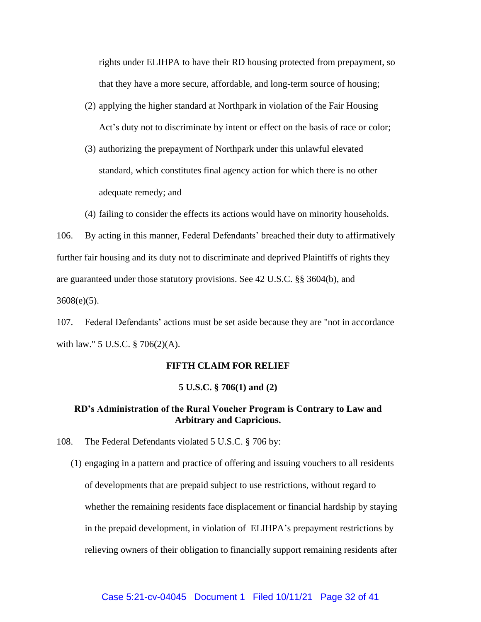rights under ELIHPA to have their RD housing protected from prepayment, so that they have a more secure, affordable, and long-term source of housing;

- (2) applying the higher standard at Northpark in violation of the Fair Housing Act's duty not to discriminate by intent or effect on the basis of race or color;
- (3) authorizing the prepayment of Northpark under this unlawful elevated standard, which constitutes final agency action for which there is no other adequate remedy; and
- (4) failing to consider the effects its actions would have on minority households.

106. By acting in this manner, Federal Defendants' breached their duty to affirmatively further fair housing and its duty not to discriminate and deprived Plaintiffs of rights they are guaranteed under those statutory provisions. See 42 U.S.C. §§ 3604(b), and  $3608(e)(5)$ .

107. Federal Defendants' actions must be set aside because they are "not in accordance with law." 5 U.S.C. § 706(2)(A).

#### **FIFTH CLAIM FOR RELIEF**

#### **5 U.S.C. § 706(1) and (2)**

# **RD's Administration of the Rural Voucher Program is Contrary to Law and Arbitrary and Capricious.**

- 108. The Federal Defendants violated 5 U.S.C. § 706 by:
	- (1) engaging in a pattern and practice of offering and issuing vouchers to all residents of developments that are prepaid subject to use restrictions, without regard to whether the remaining residents face displacement or financial hardship by staying in the prepaid development, in violation of ELIHPA's prepayment restrictions by relieving owners of their obligation to financially support remaining residents after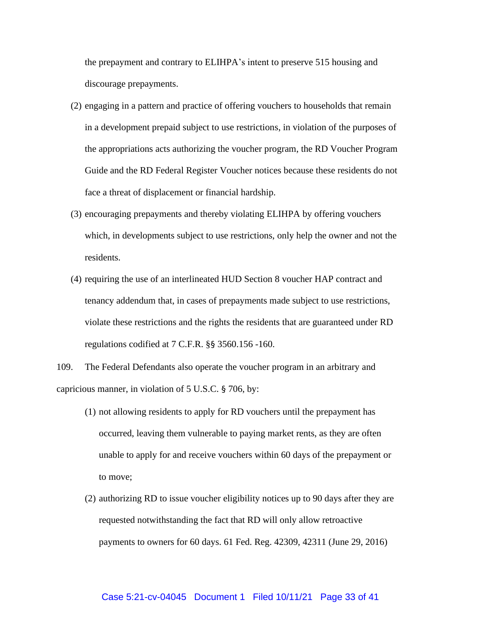the prepayment and contrary to ELIHPA's intent to preserve 515 housing and discourage prepayments.

- (2) engaging in a pattern and practice of offering vouchers to households that remain in a development prepaid subject to use restrictions, in violation of the purposes of the appropriations acts authorizing the voucher program, the RD Voucher Program Guide and the RD Federal Register Voucher notices because these residents do not face a threat of displacement or financial hardship.
- (3) encouraging prepayments and thereby violating ELIHPA by offering vouchers which, in developments subject to use restrictions, only help the owner and not the residents.
- (4) requiring the use of an interlineated HUD Section 8 voucher HAP contract and tenancy addendum that, in cases of prepayments made subject to use restrictions, violate these restrictions and the rights the residents that are guaranteed under RD regulations codified at 7 C.F.R. §§ 3560.156 -160.

109. The Federal Defendants also operate the voucher program in an arbitrary and capricious manner, in violation of 5 U.S.C. § 706, by:

- (1) not allowing residents to apply for RD vouchers until the prepayment has occurred, leaving them vulnerable to paying market rents, as they are often unable to apply for and receive vouchers within 60 days of the prepayment or to move;
- (2) authorizing RD to issue voucher eligibility notices up to 90 days after they are requested notwithstanding the fact that RD will only allow retroactive payments to owners for 60 days. 61 Fed. Reg. 42309, 42311 (June 29, 2016)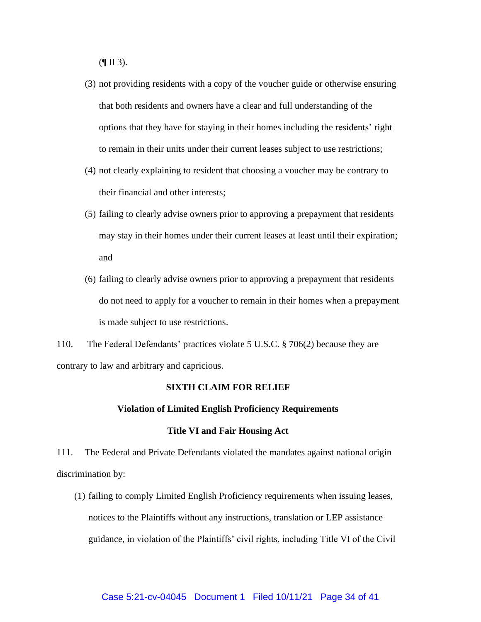$(\P \amalg 3)$ .

- (3) not providing residents with a copy of the voucher guide or otherwise ensuring that both residents and owners have a clear and full understanding of the options that they have for staying in their homes including the residents' right to remain in their units under their current leases subject to use restrictions;
- (4) not clearly explaining to resident that choosing a voucher may be contrary to their financial and other interests;
- (5) failing to clearly advise owners prior to approving a prepayment that residents may stay in their homes under their current leases at least until their expiration; and
- (6) failing to clearly advise owners prior to approving a prepayment that residents do not need to apply for a voucher to remain in their homes when a prepayment is made subject to use restrictions.

110. The Federal Defendants' practices violate 5 U.S.C. § 706(2) because they are contrary to law and arbitrary and capricious.

# **SIXTH CLAIM FOR RELIEF**

#### **Violation of Limited English Proficiency Requirements**

#### **Title VI and Fair Housing Act**

111. The Federal and Private Defendants violated the mandates against national origin discrimination by:

(1) failing to comply Limited English Proficiency requirements when issuing leases, notices to the Plaintiffs without any instructions, translation or LEP assistance guidance, in violation of the Plaintiffs' civil rights, including Title VI of the Civil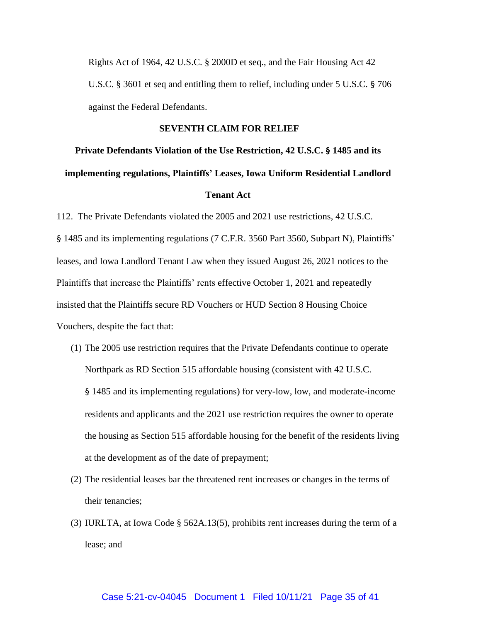Rights Act of 1964, 42 U.S.C. § 2000D et seq., and the Fair Housing Act 42 U.S.C. § 3601 et seq and entitling them to relief, including under 5 U.S.C. § 706 against the Federal Defendants.

#### **SEVENTH CLAIM FOR RELIEF**

# **Private Defendants Violation of the Use Restriction, 42 U.S.C. § 1485 and its implementing regulations, Plaintiffs' Leases, Iowa Uniform Residential Landlord Tenant Act**

112. The Private Defendants violated the 2005 and 2021 use restrictions, 42 U.S.C. § 1485 and its implementing regulations (7 C.F.R. 3560 Part 3560, Subpart N), Plaintiffs' leases, and Iowa Landlord Tenant Law when they issued August 26, 2021 notices to the Plaintiffs that increase the Plaintiffs' rents effective October 1, 2021 and repeatedly insisted that the Plaintiffs secure RD Vouchers or HUD Section 8 Housing Choice Vouchers, despite the fact that:

- (1) The 2005 use restriction requires that the Private Defendants continue to operate Northpark as RD Section 515 affordable housing (consistent with 42 U.S.C. § 1485 and its implementing regulations) for very-low, low, and moderate-income residents and applicants and the 2021 use restriction requires the owner to operate the housing as Section 515 affordable housing for the benefit of the residents living at the development as of the date of prepayment;
- (2) The residential leases bar the threatened rent increases or changes in the terms of their tenancies;
- (3) IURLTA, at Iowa Code § 562A.13(5), prohibits rent increases during the term of a lease; and

#### Case 5:21-cv-04045 Document 1 Filed 10/11/21 Page 35 of 41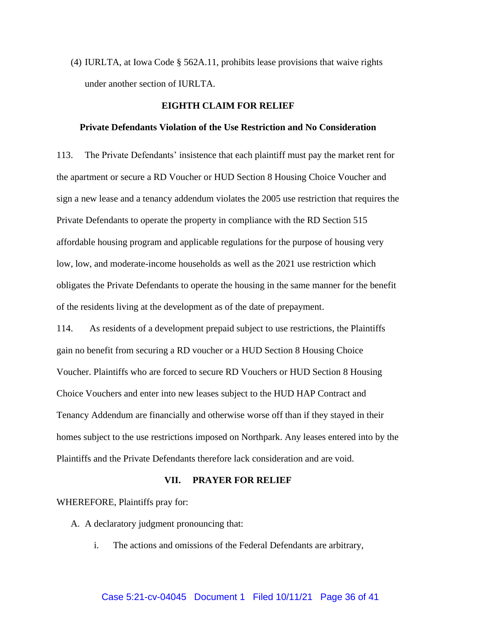(4) IURLTA, at Iowa Code § 562A.11, prohibits lease provisions that waive rights under another section of IURLTA.

#### **EIGHTH CLAIM FOR RELIEF**

#### **Private Defendants Violation of the Use Restriction and No Consideration**

113. The Private Defendants' insistence that each plaintiff must pay the market rent for the apartment or secure a RD Voucher or HUD Section 8 Housing Choice Voucher and sign a new lease and a tenancy addendum violates the 2005 use restriction that requires the Private Defendants to operate the property in compliance with the RD Section 515 affordable housing program and applicable regulations for the purpose of housing very low, low, and moderate-income households as well as the 2021 use restriction which obligates the Private Defendants to operate the housing in the same manner for the benefit of the residents living at the development as of the date of prepayment.

114. As residents of a development prepaid subject to use restrictions, the Plaintiffs gain no benefit from securing a RD voucher or a HUD Section 8 Housing Choice Voucher. Plaintiffs who are forced to secure RD Vouchers or HUD Section 8 Housing Choice Vouchers and enter into new leases subject to the HUD HAP Contract and Tenancy Addendum are financially and otherwise worse off than if they stayed in their homes subject to the use restrictions imposed on Northpark. Any leases entered into by the Plaintiffs and the Private Defendants therefore lack consideration and are void.

#### **VII. PRAYER FOR RELIEF**

WHEREFORE, Plaintiffs pray for:

A. A declaratory judgment pronouncing that:

i. The actions and omissions of the Federal Defendants are arbitrary,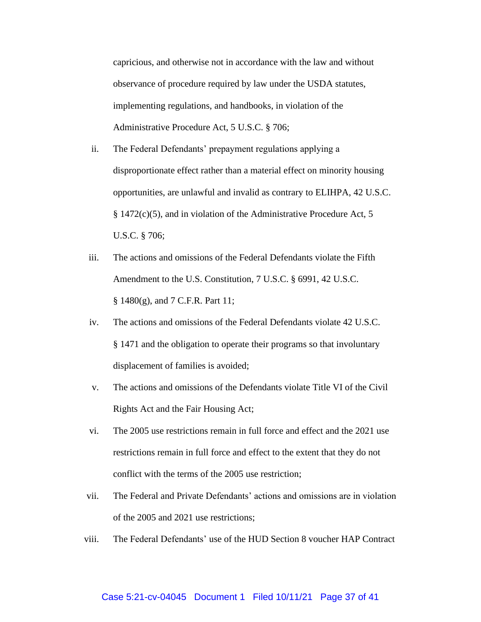capricious, and otherwise not in accordance with the law and without observance of procedure required by law under the USDA statutes, implementing regulations, and handbooks, in violation of the Administrative Procedure Act, 5 U.S.C. § 706;

- ii. The Federal Defendants' prepayment regulations applying a disproportionate effect rather than a material effect on minority housing opportunities, are unlawful and invalid as contrary to ELIHPA, 42 U.S.C. § 1472(c)(5), and in violation of the Administrative Procedure Act, 5 U.S.C. § 706;
- iii. The actions and omissions of the Federal Defendants violate the Fifth Amendment to the U.S. Constitution, 7 U.S.C. § 6991, 42 U.S.C. § 1480(g), and 7 C.F.R. Part 11;
- iv. The actions and omissions of the Federal Defendants violate 42 U.S.C. § 1471 and the obligation to operate their programs so that involuntary displacement of families is avoided;
- v. The actions and omissions of the Defendants violate Title VI of the Civil Rights Act and the Fair Housing Act;
- vi. The 2005 use restrictions remain in full force and effect and the 2021 use restrictions remain in full force and effect to the extent that they do not conflict with the terms of the 2005 use restriction;
- vii. The Federal and Private Defendants' actions and omissions are in violation of the 2005 and 2021 use restrictions;
- viii. The Federal Defendants' use of the HUD Section 8 voucher HAP Contract

#### Case 5:21-cv-04045 Document 1 Filed 10/11/21 Page 37 of 41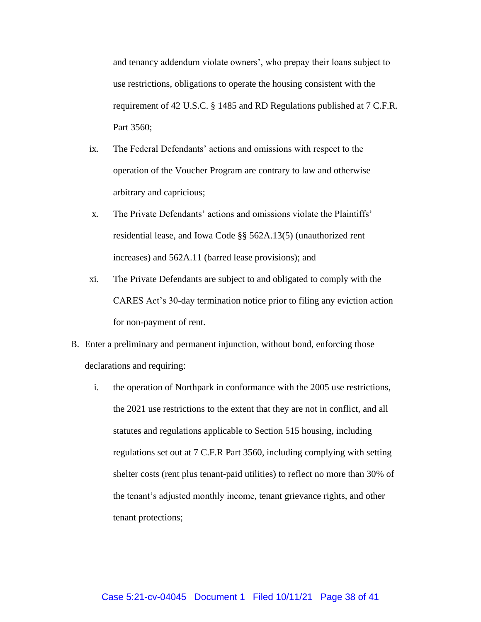and tenancy addendum violate owners', who prepay their loans subject to use restrictions, obligations to operate the housing consistent with the requirement of 42 U.S.C. § 1485 and RD Regulations published at 7 C.F.R. Part 3560;

- ix. The Federal Defendants' actions and omissions with respect to the operation of the Voucher Program are contrary to law and otherwise arbitrary and capricious;
- x. The Private Defendants' actions and omissions violate the Plaintiffs' residential lease, and Iowa Code §§ 562A.13(5) (unauthorized rent increases) and 562A.11 (barred lease provisions); and
- xi. The Private Defendants are subject to and obligated to comply with the CARES Act's 30-day termination notice prior to filing any eviction action for non-payment of rent.
- B. Enter a preliminary and permanent injunction, without bond, enforcing those declarations and requiring:
	- i. the operation of Northpark in conformance with the 2005 use restrictions, the 2021 use restrictions to the extent that they are not in conflict, and all statutes and regulations applicable to Section 515 housing, including regulations set out at 7 C.F.R Part 3560, including complying with setting shelter costs (rent plus tenant-paid utilities) to reflect no more than 30% of the tenant's adjusted monthly income, tenant grievance rights, and other tenant protections;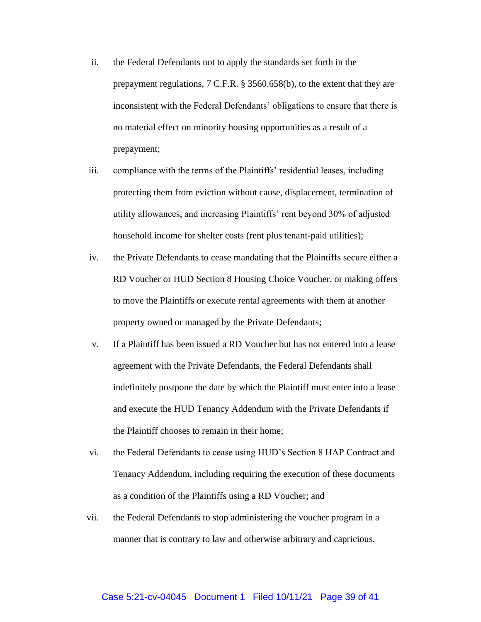- ii. the Federal Defendants not to apply the standards set forth in the prepayment regulations, 7 C.F.R. § 3560.658(b), to the extent that they are inconsistent with the Federal Defendants' obligations to ensure that there is no material effect on minority housing opportunities as a result of a prepayment;
- iii. compliance with the terms of the Plaintiffs' residential leases, including protecting them from eviction without cause, displacement, termination of utility allowances, and increasing Plaintiffs' rent beyond 30% of adjusted household income for shelter costs (rent plus tenant-paid utilities);
- iv. the Private Defendants to cease mandating that the Plaintiffs secure either a RD Voucher or HUD Section 8 Housing Choice Voucher, or making offers to move the Plaintiffs or execute rental agreements with them at another property owned or managed by the Private Defendants;
- v. If a Plaintiff has been issued a RD Voucher but has not entered into a lease agreement with the Private Defendants, the Federal Defendants shall indefinitely postpone the date by which the Plaintiff must enter into a lease and execute the HUD Tenancy Addendum with the Private Defendants if the Plaintiff chooses to remain in their home;
- vi. the Federal Defendants to cease using HUD's Section 8 HAP Contract and Tenancy Addendum, including requiring the execution of these documents as a condition of the Plaintiffs using a RD Voucher; and
- vii. the Federal Defendants to stop administering the voucher program in a manner that is contrary to law and otherwise arbitrary and capricious.

#### Case 5:21-cv-04045 Document 1 Filed 10/11/21 Page 39 of 41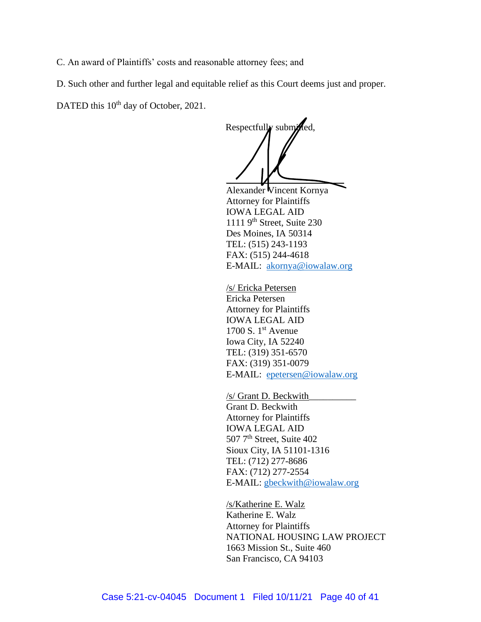C. An award of Plaintiffs' costs and reasonable attorney fees; and

D. Such other and further legal and equitable relief as this Court deems just and proper.

DATED this 10<sup>th</sup> day of October, 2021.

Respectfully submitted,  $\overline{\phantom{a}}$ 

Alexander Vincent Kornya Attorney for Plaintiffs IOWA LEGAL AID  $1111$  9<sup>th</sup> Street, Suite 230 Des Moines, IA 50314 TEL: (515) 243-1193 FAX: (515) 244-4618 E-MAIL: [akornya@iowalaw.org](mailto:akornya@iowalaw.org)

/s/ Ericka Petersen Ericka Petersen Attorney for Plaintiffs IOWA LEGAL AID 1700 S.  $1<sup>st</sup>$  Avenue Iowa City, IA 52240 TEL: (319) 351-6570 FAX: (319) 351-0079 E-MAIL: [epetersen@iowalaw.org](mailto:epetersen@iowalaw.org)

/s/ Grant D. Beckwith\_\_\_\_\_\_\_\_\_\_ Grant D. Beckwith Attorney for Plaintiffs IOWA LEGAL AID 507<sup>7th</sup> Street, Suite 402 Sioux City, IA 51101-1316 TEL: (712) 277-8686 FAX: (712) 277-2554 E-MAIL: [gbeckwith@iowalaw.org](mailto:gbeckwith@iowalaw.org)

/s/Katherine E. Walz Katherine E. Walz Attorney for Plaintiffs NATIONAL HOUSING LAW PROJECT 1663 Mission St., Suite 460 San Francisco, CA 94103